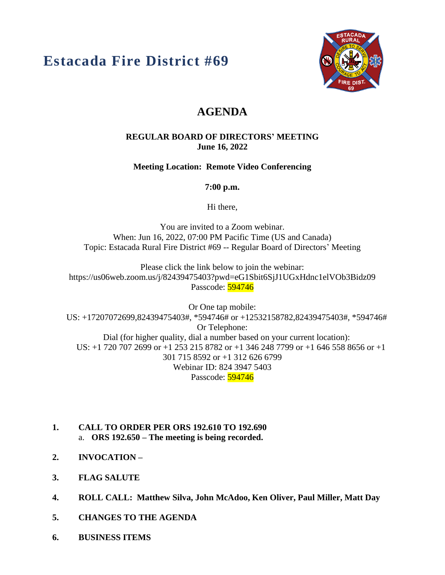# **Estacada Fire District #69**



# **AGENDA**

#### **REGULAR BOARD OF DIRECTORS' MEETING June 16, 2022**

**Meeting Location: Remote Video Conferencing**

**7:00 p.m.**

Hi there,

You are invited to a Zoom webinar. When: Jun 16, 2022, 07:00 PM Pacific Time (US and Canada) Topic: Estacada Rural Fire District #69 -- Regular Board of Directors' Meeting

Please click the link below to join the webinar: https://us06web.zoom.us/j/82439475403?pwd=eG1Sbit6SjJ1UGxHdnc1elVOb3Bidz09 Passcode: 594746

Or One tap mobile: US: +17207072699,82439475403#, \*594746# or +12532158782,82439475403#, \*594746# Or Telephone: Dial (for higher quality, dial a number based on your current location): US: +1 720 707 2699 or +1 253 215 8782 or +1 346 248 7799 or +1 646 558 8656 or +1 301 715 8592 or +1 312 626 6799 Webinar ID: 824 3947 5403 Passcode: 594746

- **1. CALL TO ORDER PER ORS 192.610 TO 192.690** a. **ORS 192.650 – The meeting is being recorded.**
- **2. INVOCATION –**
- **3. FLAG SALUTE**
- **4. ROLL CALL: Matthew Silva, John McAdoo, Ken Oliver, Paul Miller, Matt Day**
- **5. CHANGES TO THE AGENDA**
- **6. BUSINESS ITEMS**